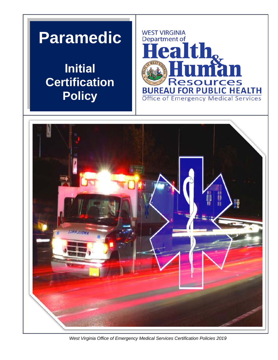## **Paramedic**

**Initial Certification Policy** 





*West Virginia Office of Emergency Medical Services Certification Policies 2019*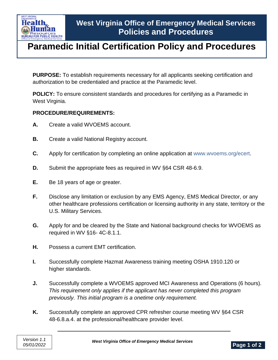

## **Paramedic Initial Certification Policy and Procedures**

**PURPOSE:** To establish requirements necessary for all applicants seeking certification and authorization to be credentialed and practice at the Paramedic level.

**POLICY:** To ensure consistent standards and procedures for certifying as a Paramedic in West Virginia.

## **PROCEDURE/REQUIREMENTS:**

- **A.** Create a valid WVOEMS account.
- **B.** Create a valid National Registry account.
- **C.** Apply for certification by completing an online application at www.wvoems.org/ecert.
- **D.** Submit the appropriate fees as required in WV §64 CSR 48-6.9.
- **E.** Be 18 years of age or greater.
- **F.** Disclose any limitation or exclusion by any EMS Agency, EMS Medical Director, or any other healthcare professions certification or licensing authority in any state, territory or the U.S. Military Services.
- **G.** Apply for and be cleared by the State and National background checks for WVOEMS as required in WV §16- 4C-8.1.1.
- **H.** Possess a current EMT certification.
- **I.** Successfully complete Hazmat Awareness training meeting OSHA 1910.120 or higher standards.
- **J.** Successfully complete a WVOEMS approved MCI Awareness and Operations (6 hours). *This requirement only applies if the applicant has never completed this program previously. This initial program is a onetime only requirement.*
- **K.** Successfully complete an approved CPR refresher course meeting WV §64 CSR 48-6.8.a.4. at the professional/healthcare provider level.